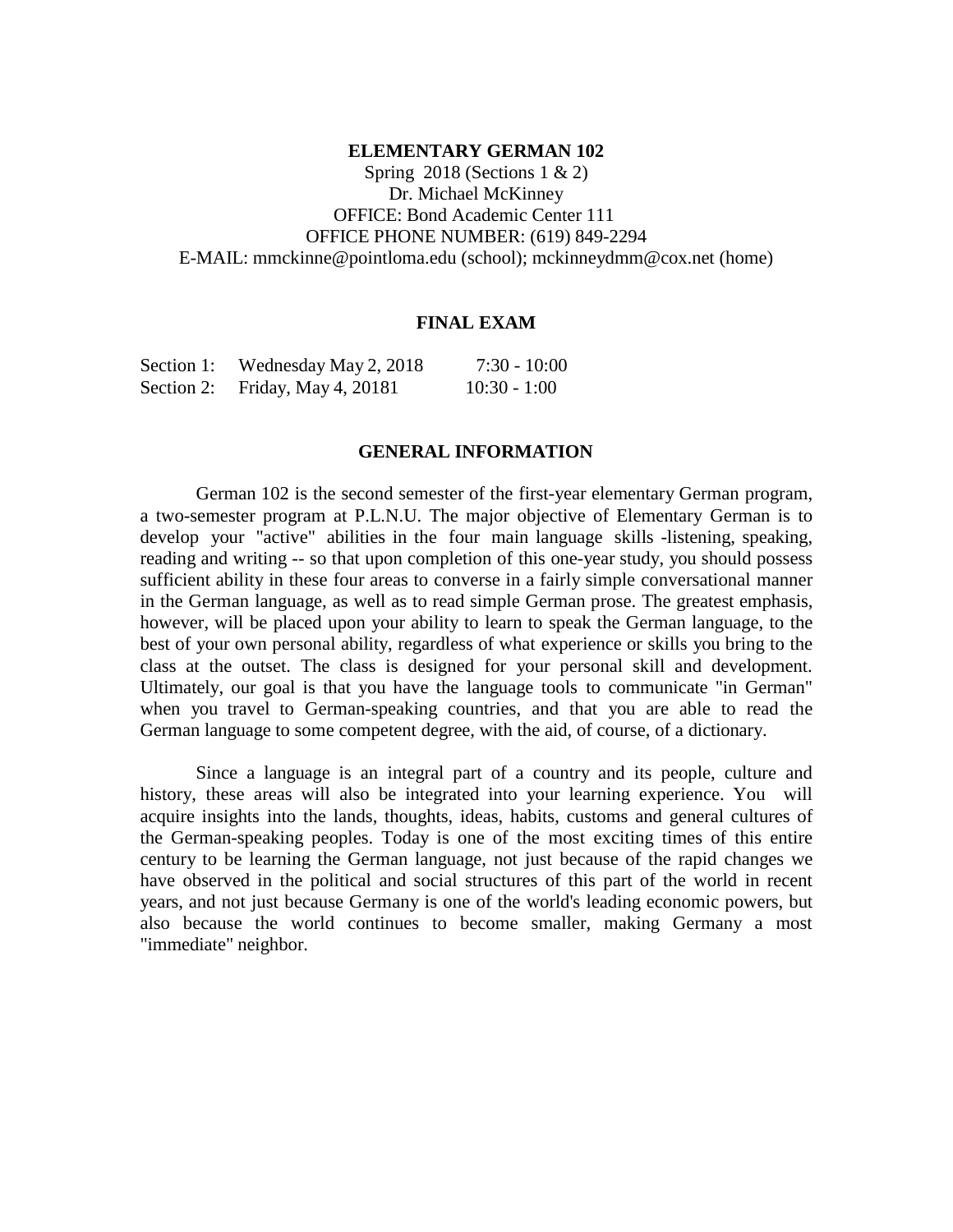#### **ELEMENTARY GERMAN 102**

Spring 2018 (Sections  $1 \& 2$ ) Dr. Michael McKinney OFFICE: Bond Academic Center 111 OFFICE PHONE NUMBER: (619) 849-2294 E-MAIL: [mmckinne@pointloma.edu](mailto:mmckinne@pointloma.edu) (school); [mckinneydmm@cox.net](mailto:mckinneydmm@cox.net) (home)

### **FINAL EXAM**

| Section 1: | Wednesday May 2, 2018 | $7:30 - 10:00$ |
|------------|-----------------------|----------------|
| Section 2: | Friday, May 4, 20181  | $10:30 - 1:00$ |

#### **GENERAL INFORMATION**

German 102 is the second semester of the first-year elementary German program, a two-semester program at P.L.N.U. The major objective of Elementary German is to develop your "active" abilities in the four main language skills -listening, speaking, reading and writing -- so that upon completion of this one-year study, you should possess sufficient ability in these four areas to converse in a fairly simple conversational manner in the German language, as well as to read simple German prose. The greatest emphasis, however, will be placed upon your ability to learn to speak the German language, to the best of your own personal ability, regardless of what experience or skills you bring to the class at the outset. The class is designed for your personal skill and development. Ultimately, our goal is that you have the language tools to communicate "in German" when you travel to German-speaking countries, and that you are able to read the German language to some competent degree, with the aid, of course, of a dictionary.

Since a language is an integral part of a country and its people, culture and history, these areas will also be integrated into your learning experience. You will acquire insights into the lands, thoughts, ideas, habits, customs and general cultures of the German-speaking peoples. Today is one of the most exciting times of this entire century to be learning the German language, not just because of the rapid changes we have observed in the political and social structures of this part of the world in recent years, and not just because Germany is one of the world's leading economic powers, but also because the world continues to become smaller, making Germany a most "immediate" neighbor.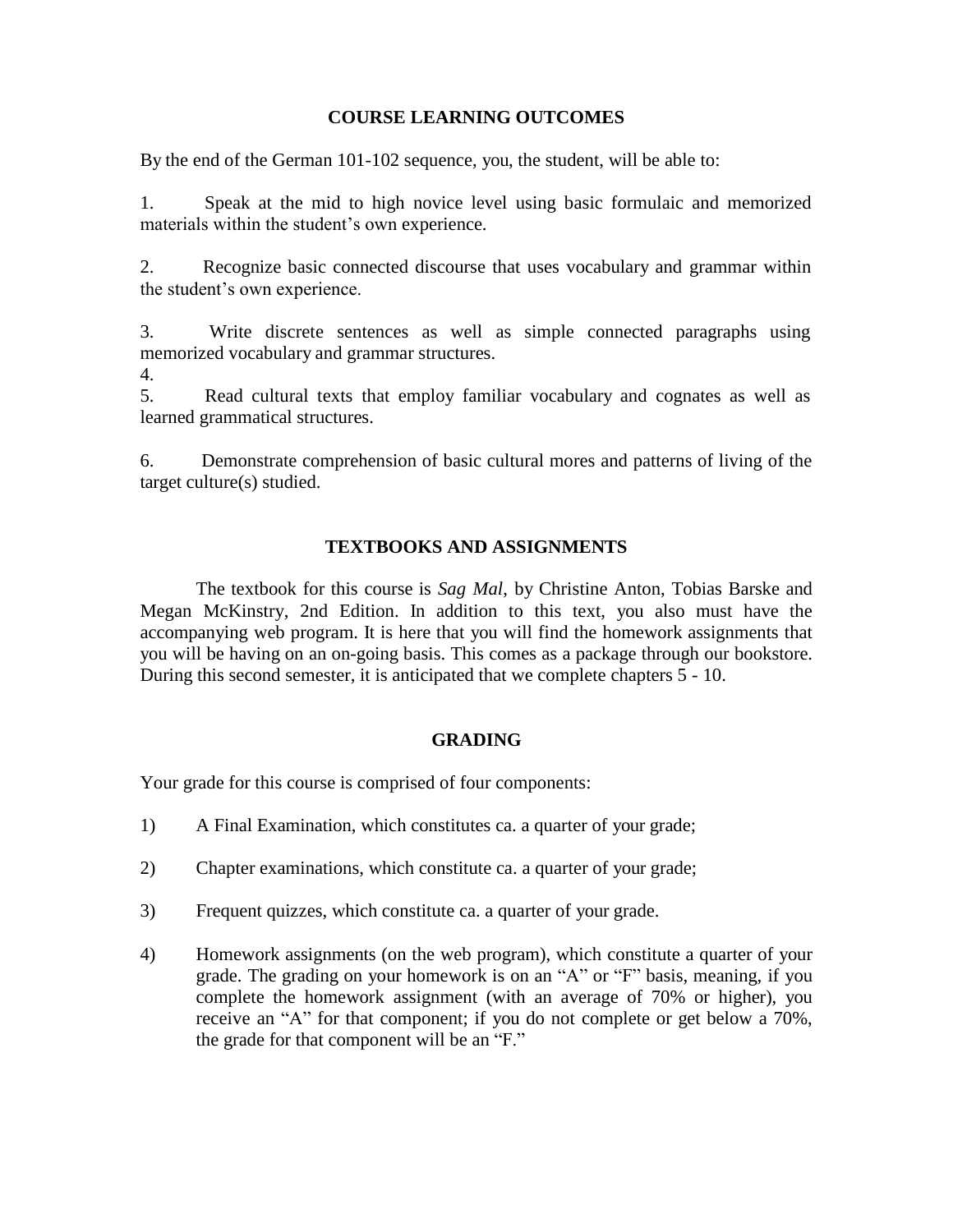### **COURSE LEARNING OUTCOMES**

By the end of the German 101-102 sequence, you, the student, will be able to:

1. Speak at the mid to high novice level using basic formulaic and memorized materials within the student's own experience.

2. Recognize basic connected discourse that uses vocabulary and grammar within the student's own experience.

3. Write discrete sentences as well as simple connected paragraphs using memorized vocabulary and grammar structures.

4.

5. Read cultural texts that employ familiar vocabulary and cognates as well as learned grammatical structures.

6. Demonstrate comprehension of basic cultural mores and patterns of living of the target culture(s) studied.

# **TEXTBOOKS AND ASSIGNMENTS**

The textbook for this course is *Sag Mal*, by Christine Anton, Tobias Barske and Megan McKinstry, 2nd Edition. In addition to this text, you also must have the accompanying web program. It is here that you will find the homework assignments that you will be having on an on-going basis. This comes as a package through our bookstore. During this second semester, it is anticipated that we complete chapters 5 - 10.

# **GRADING**

Your grade for this course is comprised of four components:

- 1) A Final Examination, which constitutes ca. a quarter of your grade;
- 2) Chapter examinations, which constitute ca. a quarter of your grade;
- 3) Frequent quizzes, which constitute ca. a quarter of your grade.
- 4) Homework assignments (on the web program), which constitute a quarter of your grade. The grading on your homework is on an "A" or "F" basis, meaning, if you complete the homework assignment (with an average of 70% or higher), you receive an "A" for that component; if you do not complete or get below a 70%, the grade for that component will be an "F."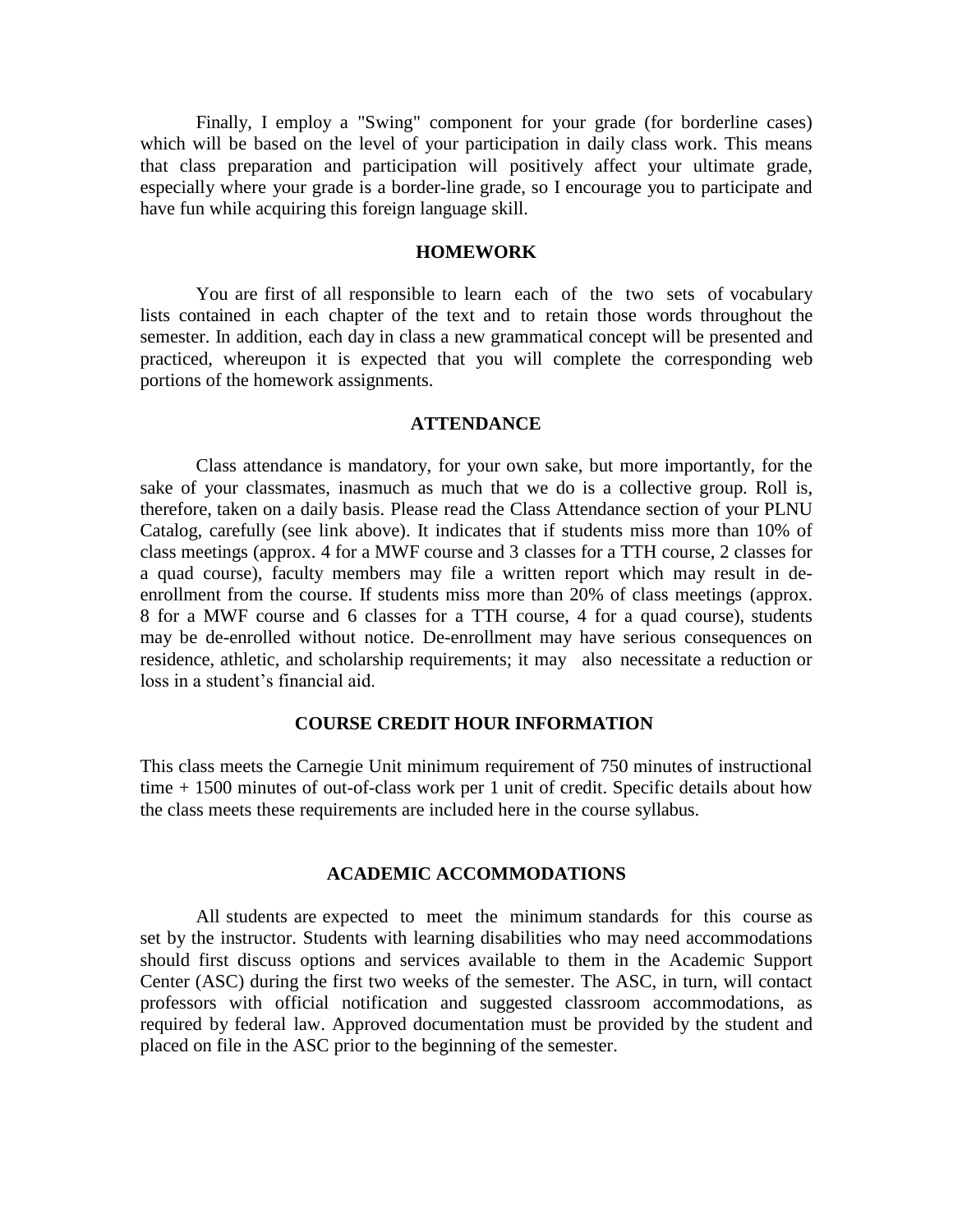Finally, I employ a "Swing" component for your grade (for borderline cases) which will be based on the level of your participation in daily class work. This means that class preparation and participation will positively affect your ultimate grade, especially where your grade is a border-line grade, so I encourage you to participate and have fun while acquiring this foreign language skill.

#### **HOMEWORK**

You are first of all responsible to learn each of the two sets of vocabulary lists contained in each chapter of the text and to retain those words throughout the semester. In addition, each day in class a new grammatical concept will be presented and practiced, whereupon it is expected that you will complete the corresponding web portions of the homework assignments.

#### **ATTENDANCE**

Class attendance is mandatory, for your own sake, but more importantly, for the sake of your classmates, inasmuch as much that we do is a collective group. Roll is, therefore, taken on a daily basis. Please read the Class Attendance section of your PLNU Catalog, carefully (see link above). It indicates that if students miss more than 10% of class meetings (approx. 4 for a MWF course and 3 classes for a TTH course, 2 classes for a quad course), faculty members may file a written report which may result in deenrollment from the course. If students miss more than 20% of class meetings (approx. 8 for a MWF course and 6 classes for a TTH course, 4 for a quad course), students may be de-enrolled without notice. De-enrollment may have serious consequences on residence, athletic, and scholarship requirements; it may also necessitate a reduction or loss in a student's financial aid.

#### **COURSE CREDIT HOUR INFORMATION**

This class meets the Carnegie Unit minimum requirement of 750 minutes of instructional time + 1500 minutes of out-of-class work per 1 unit of credit. Specific details about how the class meets these requirements are included here in the course syllabus.

### **ACADEMIC ACCOMMODATIONS**

All students are expected to meet the minimum standards for this course as set by the instructor. Students with learning disabilities who may need accommodations should first discuss options and services available to them in the Academic Support Center (ASC) during the first two weeks of the semester. The ASC, in turn, will contact professors with official notification and suggested classroom accommodations, as required by federal law. Approved documentation must be provided by the student and placed on file in the ASC prior to the beginning of the semester.